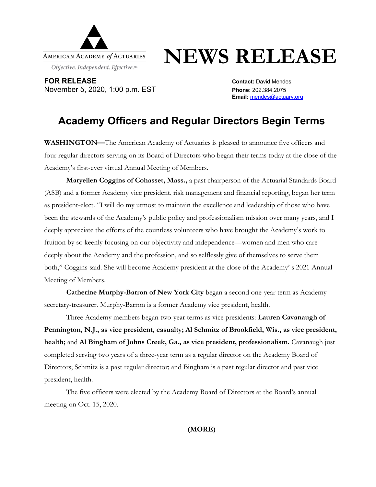

## **NEWS RELEASE**

**FOR RELEASE CONTACT: DAVID MENDED ASSESSED ASSESSED AT A CONTACT: David Mendes** November 5, 2020, 1:00 p.m. EST **Phone:** 202.384.2075

**Email:** mendes@actuary.org

## **Academy Officers and Regular Directors Begin Terms**

**WASHINGTON—**The American Academy of Actuaries is pleased to announce five officers and four regular directors serving on its Board of Directors who began their terms today at the close of the Academy's first-ever virtual Annual Meeting of Members.

**Maryellen Coggins of Cohasset, Mass.,** a past chairperson of the Actuarial Standards Board (ASB) and a former Academy vice president, risk management and financial reporting, began her term as president-elect. "I will do my utmost to maintain the excellence and leadership of those who have been the stewards of the Academy's public policy and professionalism mission over many years, and I deeply appreciate the efforts of the countless volunteers who have brought the Academy's work to fruition by so keenly focusing on our objectivity and independence—women and men who care deeply about the Academy and the profession, and so selflessly give of themselves to serve them both," Coggins said. She will become Academy president at the close of the Academy' s 2021 Annual Meeting of Members.

**Catherine Murphy-Barron of New York City** began a second one-year term as Academy secretary-treasurer. Murphy-Barron is a former Academy vice president, health.

Three Academy members began two-year terms as vice presidents: **Lauren Cavanaugh of Pennington, N.J., as vice president, casualty; Al Schmitz of Brookfield, Wis., as vice president, health;** and **Al Bingham of Johns Creek, Ga., as vice president, professionalism.** Cavanaugh just completed serving two years of a three-year term as a regular director on the Academy Board of Directors; Schmitz is a past regular director; and Bingham is a past regular director and past vice president, health.

The five officers were elected by the Academy Board of Directors at the Board's annual meeting on Oct. 15, 2020.

**(MORE)**